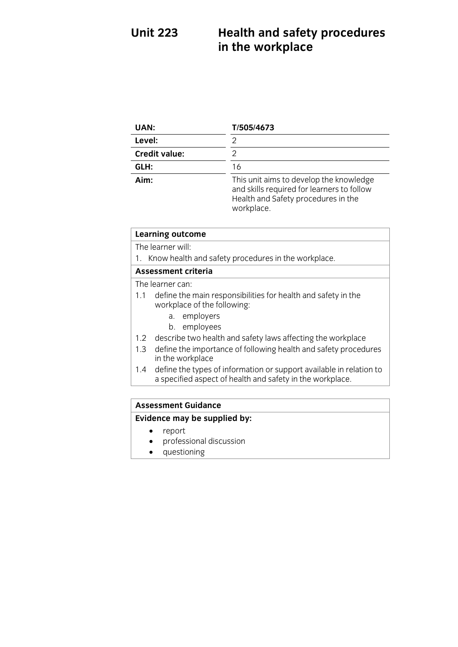## **Unit 223**  $\mathbf{I}$  in the workplace **in the workplace**

| UAN:                 | T/505/4673                                                                                                                                 |
|----------------------|--------------------------------------------------------------------------------------------------------------------------------------------|
| Level:               | 2                                                                                                                                          |
| <b>Credit value:</b> | 2                                                                                                                                          |
| GLH:                 | 16                                                                                                                                         |
| Aim:                 | This unit aims to develop the knowledge<br>and skills required for learners to follow<br>Health and Safety procedures in the<br>workplace. |

# **Learning outcome**<br>The learner will:

1. Know health and safety procedures in the workplace.

### Assessment criteria

The learner can:

- 1.1 define the main responsibilities for health and safety in the workplace of the following:
	- a. employers
	- b. employees
- 1.2 describe two health and safety laws affecting the workplace
- 1.3 define the importance of following health and safety procedures in the workplace
- 1.4 define the types of information or support available in relation to a specified aspect of health and safety in the workplace a specified as  $\frac{1}{2}$  specified as performed as  $\frac{1}{2}$  specified and safety in the work place.

## **Assessment Guidance<br>Evidence may be supplied by: Evidence may be supplied by:**

- report<br>• profess
- professional discussion<br>• questioning
- questioning